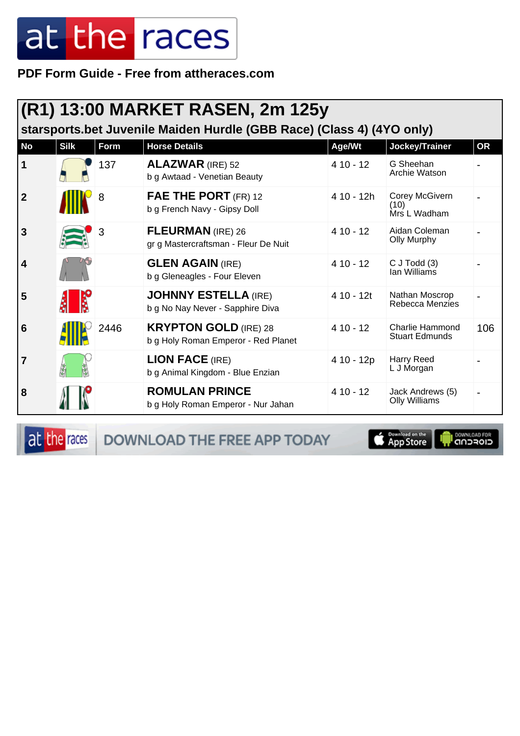PDF Form Guide - Free from attheraces.com

|                | (R1) 13:00 MARKET RASEN, 2m 125y<br>starsports.bet Juvenile Maiden Hurdle (GBB Race) (Class 4) (4YO only) |      |                                                                     |            |                                                 |           |  |  |
|----------------|-----------------------------------------------------------------------------------------------------------|------|---------------------------------------------------------------------|------------|-------------------------------------------------|-----------|--|--|
| <b>No</b>      | <b>Silk</b>                                                                                               | Form | <b>Horse Details</b>                                                | Age/Wt     | Jockey/Trainer                                  | <b>OR</b> |  |  |
| 1              |                                                                                                           | 137  | <b>ALAZWAR</b> (IRE) 52<br>b g Awtaad - Venetian Beauty             | $410 - 12$ | G Sheehan<br>Archie Watson                      |           |  |  |
| $\overline{2}$ |                                                                                                           | 8    | FAE THE PORT (FR) 12<br>b g French Navy - Gipsy Doll                | 4 10 - 12h | Corey McGivern<br>(10)<br>Mrs L Wadham          |           |  |  |
| 3              |                                                                                                           | 3    | <b>FLEURMAN</b> (IRE) 26<br>gr g Mastercraftsman - Fleur De Nuit    | $410 - 12$ | Aidan Coleman<br><b>Olly Murphy</b>             |           |  |  |
| 4              |                                                                                                           |      | <b>GLEN AGAIN (IRE)</b><br>b g Gleneagles - Four Eleven             | $410 - 12$ | $C$ J Todd $(3)$<br>Ian Williams                |           |  |  |
| 5              |                                                                                                           |      | <b>JOHNNY ESTELLA (IRE)</b><br>b g No Nay Never - Sapphire Diva     | 4 10 - 12t | Nathan Moscrop<br>Rebecca Menzies               |           |  |  |
| 6              |                                                                                                           | 2446 | <b>KRYPTON GOLD (IRE) 28</b><br>b g Holy Roman Emperor - Red Planet | $410 - 12$ | <b>Charlie Hammond</b><br><b>Stuart Edmunds</b> | 106       |  |  |
| $\overline{7}$ |                                                                                                           |      | <b>LION FACE (IRE)</b><br>b g Animal Kingdom - Blue Enzian          | 4 10 - 12p | <b>Harry Reed</b><br>L J Morgan                 |           |  |  |
| 8              |                                                                                                           |      | <b>ROMULAN PRINCE</b><br>b g Holy Roman Emperor - Nur Jahan         | $410 - 12$ | Jack Andrews (5)<br><b>Olly Williams</b>        |           |  |  |

at the races

DOWNLOAD THE FREE APP TODAY

**Example of the App Store**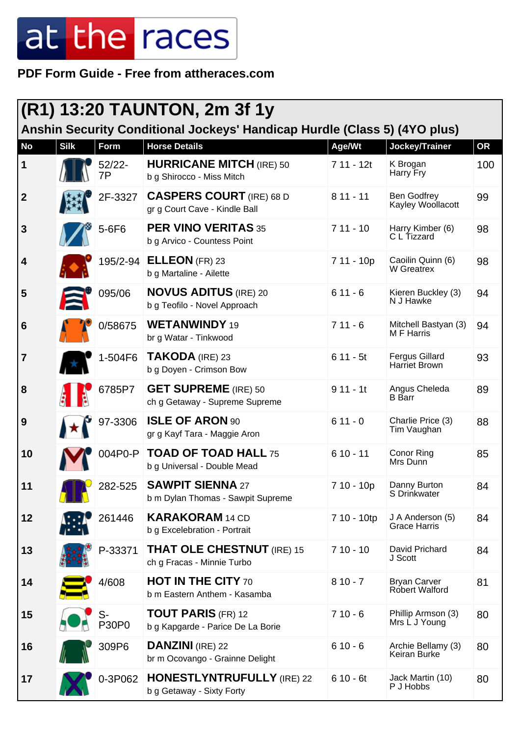**PDF Form Guide - Free from attheraces.com**

| $(R1)$ 13:20 TAUNTON, 2m 3f 1y<br>Anshin Security Conditional Jockeys' Handicap Hurdle (Class 5) (4YO plus) |             |              |                                                                  |             |                                         |           |  |  |
|-------------------------------------------------------------------------------------------------------------|-------------|--------------|------------------------------------------------------------------|-------------|-----------------------------------------|-----------|--|--|
| <b>No</b>                                                                                                   | <b>Silk</b> | Form         | <b>Horse Details</b>                                             | Age/Wt      | Jockey/Trainer                          | <b>OR</b> |  |  |
| $\vert$ 1                                                                                                   |             | 52/22-<br>7P | <b>HURRICANE MITCH (IRE) 50</b><br>b g Shirocco - Miss Mitch     | $711 - 12t$ | K Brogan<br>Harry Fry                   | 100       |  |  |
| $\overline{2}$                                                                                              |             | 2F-3327      | <b>CASPERS COURT</b> (IRE) 68 D<br>gr g Court Cave - Kindle Ball | $811 - 11$  | <b>Ben Godfrey</b><br>Kayley Woollacott | 99        |  |  |
| 3                                                                                                           |             | 5-6F6        | <b>PER VINO VERITAS 35</b><br>b g Arvico - Countess Point        | $711 - 10$  | Harry Kimber (6)<br>C L Tizzard         | 98        |  |  |
| 4                                                                                                           |             | 195/2-94     | <b>ELLEON</b> (FR) 23<br>b g Martaline - Ailette                 | 7 11 - 10p  | Caoilin Quinn (6)<br>W Greatrex         | 98        |  |  |
| 5                                                                                                           |             | 095/06       | <b>NOVUS ADITUS (IRE) 20</b><br>b g Teofilo - Novel Approach     | $611 - 6$   | Kieren Buckley (3)<br>N J Hawke         | 94        |  |  |
| 6                                                                                                           |             | 0/58675      | <b>WETANWINDY 19</b><br>br g Watar - Tinkwood                    | $711 - 6$   | Mitchell Bastyan (3)<br>M F Harris      | 94        |  |  |
| $\overline{7}$                                                                                              |             | 1-504F6      | TAKODA (IRE) 23<br>b g Doyen - Crimson Bow                       | $611 - 5t$  | <b>Fergus Gillard</b><br>Harriet Brown  | 93        |  |  |
| 8                                                                                                           |             | 6785P7       | <b>GET SUPREME</b> (IRE) 50<br>ch g Getaway - Supreme Supreme    | $911 - 11$  | Angus Cheleda<br><b>B</b> Barr          | 89        |  |  |
| 9                                                                                                           |             | 97-3306      | <b>ISLE OF ARON 90</b><br>gr g Kayf Tara - Maggie Aron           | $611 - 0$   | Charlie Price (3)<br>Tim Vaughan        | 88        |  |  |
| 10                                                                                                          |             | 004P0-P      | <b>TOAD OF TOAD HALL 75</b><br>b g Universal - Double Mead       | $610 - 11$  | <b>Conor Ring</b><br>Mrs Dunn           | 85        |  |  |
| 11                                                                                                          |             | 282-525      | <b>SAWPIT SIENNA 27</b><br>b m Dylan Thomas - Sawpit Supreme     | 7 10 - 10p  | Danny Burton<br>S Drinkwater            | 84        |  |  |
| 12                                                                                                          |             | 261446       | <b>KARAKORAM</b> 14 CD<br>b g Excelebration - Portrait           | 7 10 - 10tp | J A Anderson (5)<br><b>Grace Harris</b> | 84        |  |  |
| 13                                                                                                          |             | P-33371      | <b>THAT OLE CHESTNUT</b> (IRE) 15<br>ch g Fracas - Minnie Turbo  | $710 - 10$  | David Prichard<br>J Scott               | 84        |  |  |
| 14                                                                                                          |             | 4/608        | <b>HOT IN THE CITY 70</b><br>b m Eastern Anthem - Kasamba        | $810 - 7$   | <b>Bryan Carver</b><br>Robert Walford   | 81        |  |  |
| 15                                                                                                          |             | S-<br>P30P0  | <b>TOUT PARIS (FR) 12</b><br>b g Kapgarde - Parice De La Borie   | $710 - 6$   | Phillip Armson (3)<br>Mrs L J Young     | 80        |  |  |
| 16                                                                                                          |             | 309P6        | <b>DANZINI</b> (IRE) 22<br>br m Ocovango - Grainne Delight       | $610 - 6$   | Archie Bellamy (3)<br>Keiran Burke      | 80        |  |  |
| 17                                                                                                          |             | 0-3P062      | <b>HONESTLYNTRUFULLY</b> (IRE) 22<br>b g Getaway - Sixty Forty   | $610 - 6t$  | Jack Martin (10)<br>P J Hobbs           | 80        |  |  |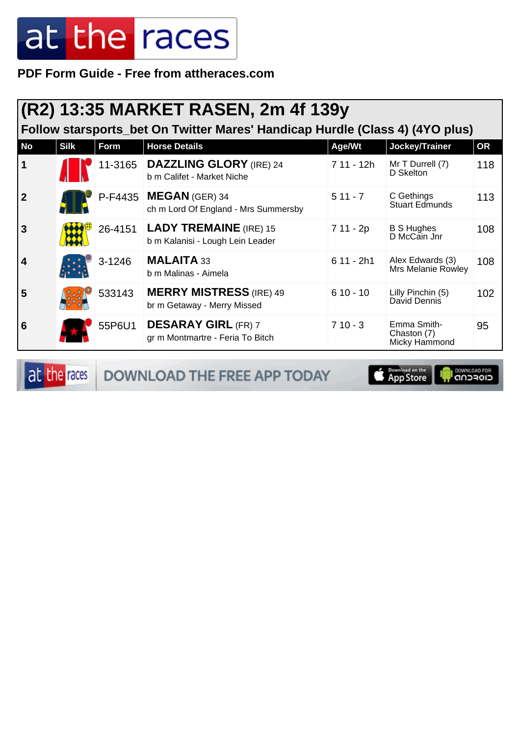**PDF Form Guide - Free from attheraces.com**

|                         | (R2) 13:35 MARKET RASEN, 2m 4f 139y<br>Follow starsports_bet On Twitter Mares' Handicap Hurdle (Class 4) (4YO plus) |         |                                                                   |             |                                             |           |  |  |  |
|-------------------------|---------------------------------------------------------------------------------------------------------------------|---------|-------------------------------------------------------------------|-------------|---------------------------------------------|-----------|--|--|--|
| <b>No</b>               | <b>Silk</b>                                                                                                         | Form    | <b>Horse Details</b>                                              | Age/Wt      | Jockey/Trainer                              | <b>OR</b> |  |  |  |
| $\mathbf 1$             |                                                                                                                     |         | 11-3165   DAZZLING GLORY (IRE) 24<br>b m Califet - Market Niche   | 7 11 - 12h  | Mr T Durrell (7)<br>D Skelton               | 118       |  |  |  |
| $\overline{2}$          |                                                                                                                     |         | P-F4435   MEGAN (GER) 34<br>ch m Lord Of England - Mrs Summersby  | $511 - 7$   | C Gethings<br><b>Stuart Edmunds</b>         | 113       |  |  |  |
| $\overline{3}$          |                                                                                                                     | 26-4151 | <b>LADY TREMAINE</b> (IRE) 15<br>b m Kalanisi - Lough Lein Leader | 7 11 - 2p   | <b>B S Hughes</b><br>D McCain Jnr           | 108       |  |  |  |
| $\overline{\mathbf{4}}$ |                                                                                                                     | 3-1246  | MALAITA 33<br>b m Malinas - Aimela                                | $611 - 2h1$ | Alex Edwards (3)<br>Mrs Melanie Rowley      | 108       |  |  |  |
| 5                       |                                                                                                                     | 533143  | <b>MERRY MISTRESS</b> (IRE) 49<br>br m Getaway - Merry Missed     | $610 - 10$  | Lilly Pinchin (5)<br>David Dennis           | 102       |  |  |  |
| 6                       |                                                                                                                     | 55P6U1  | <b>DESARAY GIRL (FR) 7</b><br>gr m Montmartre - Feria To Bitch    | $710 - 3$   | Emma Smith-<br>Chaston (7)<br>Micky Hammond | 95        |  |  |  |

at the races DOWNLOAD THE FREE APP TODAY

Download on the **IL DOWNLOAD FOR**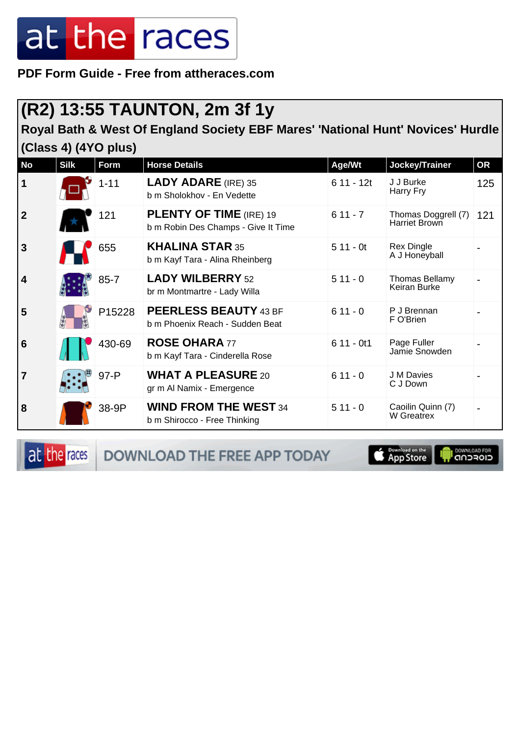**PDF Form Guide - Free from attheraces.com**

### **(R2) 13:55 TAUNTON, 2m 3f 1y**

**Royal Bath & West Of England Society EBF Mares' 'National Hunt' Novices' Hurdle (Class 4) (4YO plus)**

| <b>No</b>               | <b>Silk</b> | <b>Form</b> | <b>Horse Details</b>                                                  | Age/Wt      | Jockey/Trainer                       | <b>OR</b> |
|-------------------------|-------------|-------------|-----------------------------------------------------------------------|-------------|--------------------------------------|-----------|
| $\vert$ 1               |             | $1 - 11$    | <b>LADY ADARE (IRE) 35</b><br>b m Sholokhov - En Vedette              | $611 - 12t$ | J J Burke<br>Harry Fry               | 125       |
| $\overline{\mathbf{2}}$ |             | 121         | <b>PLENTY OF TIME (IRE) 19</b><br>b m Robin Des Champs - Give It Time | $611 - 7$   | Thomas Doggrell (7)<br>Harriet Brown | 121       |
| $\overline{3}$          |             | 655         | <b>KHALINA STAR 35</b><br>b m Kayf Tara - Alina Rheinberg             | $511 - 0t$  | <b>Rex Dingle</b><br>A J Honeyball   |           |
| $\vert$ 4               |             | $85 - 7$    | <b>LADY WILBERRY 52</b><br>br m Montmartre - Lady Willa               | $511 - 0$   | Thomas Bellamy<br>Keiran Burke       |           |
| 5                       |             | P15228      | <b>PEERLESS BEAUTY 43 BF</b><br>b m Phoenix Reach - Sudden Beat       | $611 - 0$   | P J Brennan<br>F O'Brien             |           |
| 6                       |             | 430-69      | <b>ROSE OHARA 77</b><br>b m Kayf Tara - Cinderella Rose               | $611 - 0t1$ | Page Fuller<br>Jamie Snowden         |           |
| 7                       |             | $97 - P$    | <b>WHAT A PLEASURE 20</b><br>gr m Al Namix - Emergence                | $611 - 0$   | J M Davies<br>C J Down               |           |
| 8                       |             | 38-9P       | <b>WIND FROM THE WEST 34</b><br>b m Shirocco - Free Thinking          | $511 - 0$   | Caoilin Quinn (7)<br>W Greatrex      |           |

at the races

DOWNLOAD THE FREE APP TODAY

**S** Download on the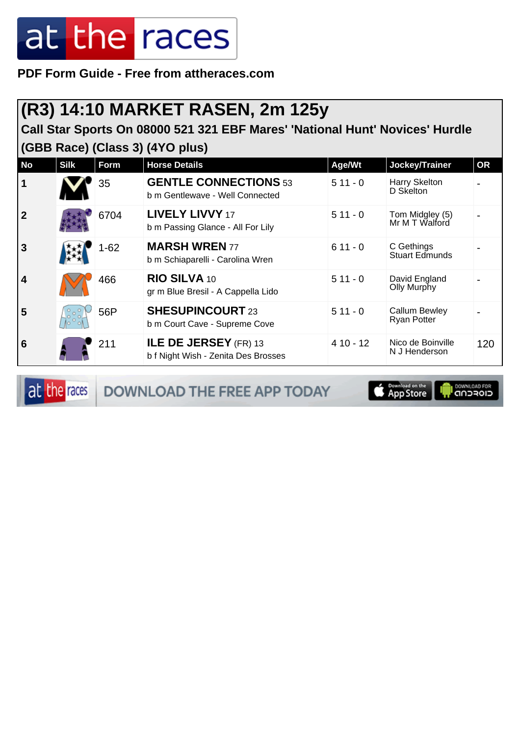**PDF Form Guide - Free from attheraces.com**

#### **(R3) 14:10 MARKET RASEN, 2m 125y**

**Call Star Sports On 08000 521 321 EBF Mares' 'National Hunt' Novices' Hurdle (GBB Race) (Class 3) (4YO plus)**

| <b>No</b>      | <b>Silk</b>                    | Form     | <b>Horse Details</b>                                                | Age/Wt     | Jockey/Trainer                      | <b>OR</b> |
|----------------|--------------------------------|----------|---------------------------------------------------------------------|------------|-------------------------------------|-----------|
| $\vert$ 1      |                                | 35       | <b>GENTLE CONNECTIONS 53</b><br>b m Gentlewave - Well Connected     | $511 - 0$  | Harry Skelton<br>D Skelton          |           |
| $\overline{2}$ |                                | 6704     | <b>LIVELY LIVVY 17</b><br>b m Passing Glance - All For Lily         | $511 - 0$  | Tom Midgley (5)<br>Mr M T Walford   |           |
| <b>3</b>       |                                | $1 - 62$ | <b>MARSH WREN 77</b><br>b m Schiaparelli - Carolina Wren            | $611 - 0$  | C Gethings<br><b>Stuart Edmunds</b> |           |
| $\overline{4}$ |                                | 466      | RIO SILVA 10<br>gr m Blue Bresil - A Cappella Lido                  | $511 - 0$  | David England<br>Olly Murphy        |           |
| 5              | $\frac{1}{2}$ or $\frac{1}{2}$ | 56P      | <b>SHESUPINCOURT 23</b><br>b m Court Cave - Supreme Cove            | $511 - 0$  | Callum Bewley<br><b>Ryan Potter</b> |           |
| <b>6</b>       |                                | 211      | <b>ILE DE JERSEY</b> (FR) 13<br>b f Night Wish - Zenita Des Brosses | $410 - 12$ | Nico de Boinville<br>N J Henderson  | 120       |

at the races DOWNLOAD THE FREE APP TODAY

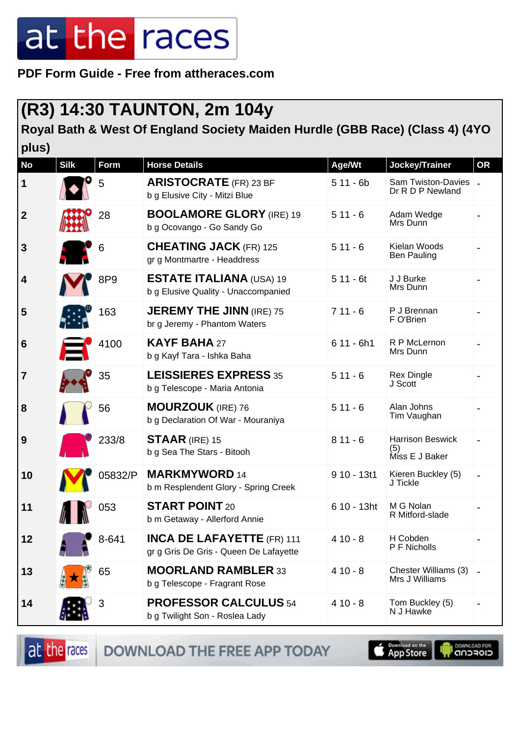**PDF Form Guide - Free from attheraces.com**

#### **(R3) 14:30 TAUNTON, 2m 104y**

**Royal Bath & West Of England Society Maiden Hurdle (GBB Race) (Class 4) (4YO plus)**

| <b>No</b>        | <b>Silk</b> | <b>Form</b> | <b>Horse Details</b>                                                        | Age/Wt       | Jockey/Trainer                                   | <b>OR</b> |
|------------------|-------------|-------------|-----------------------------------------------------------------------------|--------------|--------------------------------------------------|-----------|
| 1                |             | 5           | <b>ARISTOCRATE</b> (FR) 23 BF<br>b g Elusive City - Mitzi Blue              | $511 - 6b$   | Sam Twiston-Davies -<br>Dr R D P Newland         |           |
| $\boldsymbol{2}$ |             | 28          | <b>BOOLAMORE GLORY (IRE) 19</b><br>b g Ocovango - Go Sandy Go               | $511 - 6$    | Adam Wedge<br>Mrs Dunn                           |           |
| 3                |             | 6           | <b>CHEATING JACK (FR) 125</b><br>gr g Montmartre - Headdress                | $511 - 6$    | Kielan Woods<br><b>Ben Pauling</b>               |           |
| 4                |             | 8P9         | <b>ESTATE ITALIANA (USA) 19</b><br>b g Elusive Quality - Unaccompanied      | $511 - 6t$   | J J Burke<br>Mrs Dunn                            |           |
| 5                |             | 163         | <b>JEREMY THE JINN (IRE) 75</b><br>br g Jeremy - Phantom Waters             | $711 - 6$    | P J Brennan<br>F O'Brien                         |           |
| 6                |             | 4100        | <b>KAYF BAHA 27</b><br>b g Kayf Tara - Ishka Baha                           | $611 - 6h1$  | R P McLernon<br>Mrs Dunn                         |           |
| 7                |             | 35          | <b>LEISSIERES EXPRESS 35</b><br>b g Telescope - Maria Antonia               | $511 - 6$    | <b>Rex Dingle</b><br>J Scott                     |           |
| 8                |             | 56          | <b>MOURZOUK</b> (IRE) 76<br>b g Declaration Of War - Mouraniya              | $511 - 6$    | Alan Johns<br>Tim Vaughan                        |           |
| 9                |             | 233/8       | <b>STAAR</b> (IRE) 15<br>b g Sea The Stars - Bitooh                         | $811 - 6$    | <b>Harrison Beswick</b><br>(5)<br>Miss E J Baker |           |
| 10               |             | 05832/P     | <b>MARKMYWORD 14</b><br>b m Resplendent Glory - Spring Creek                | $910 - 13t1$ | Kieren Buckley (5)<br>J Tickle                   |           |
| 11               |             | 053         | <b>START POINT 20</b><br>b m Getaway - Allerford Annie                      | 6 10 - 13ht  | M G Nolan<br>R Mitford-slade                     |           |
| 12               |             | 8-641       | <b>INCA DE LAFAYETTE (FR) 111</b><br>gr g Gris De Gris - Queen De Lafayette | $410 - 8$    | H Cobden<br>P F Nicholls                         |           |
| 13               |             | 65          | <b>MOORLAND RAMBLER 33</b><br>b g Telescope - Fragrant Rose                 | $410 - 8$    | Chester Williams (3)<br>Mrs J Williams           |           |
| 14               |             | 3           | <b>PROFESSOR CALCULUS 54</b><br>b g Twilight Son - Roslea Lady              | $410 - 8$    | Tom Buckley (5)<br>N J Hawke                     |           |

at the races

DOWNLOAD THE FREE APP TODAY

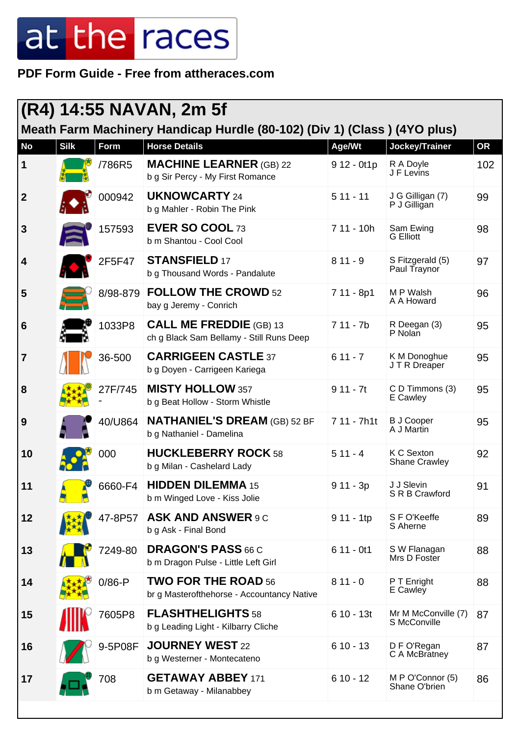**PDF Form Guide - Free from attheraces.com**

| (R4) 14:55 NAVAN, 2m 5f |             |             |                                                                            |              |                                     |     |  |
|-------------------------|-------------|-------------|----------------------------------------------------------------------------|--------------|-------------------------------------|-----|--|
|                         |             |             | Meath Farm Machinery Handicap Hurdle (80-102) (Div 1) (Class) (4YO plus)   |              |                                     |     |  |
| <b>No</b>               | <b>Silk</b> | <b>Form</b> | <b>Horse Details</b>                                                       | Age/Wt       | Jockey/Trainer                      | OR  |  |
| 1                       |             | /786R5      | <b>MACHINE LEARNER (GB) 22</b><br>b g Sir Percy - My First Romance         | $912 - 0t1p$ | R A Doyle<br>J F Levins             | 102 |  |
| $\boldsymbol{2}$        |             | 000942      | <b>UKNOWCARTY 24</b><br>b g Mahler - Robin The Pink                        | $511 - 11$   | J G Gilligan (7)<br>P J Gilligan    | 99  |  |
| 3                       |             | 157593      | EVER SO COOL 73<br>b m Shantou - Cool Cool                                 | $711 - 10h$  | Sam Ewing<br><b>G</b> Elliott       | 98  |  |
| 4                       |             | 2F5F47      | <b>STANSFIELD 17</b><br>b g Thousand Words - Pandalute                     | $811 - 9$    | S Fitzgerald (5)<br>Paul Traynor    | 97  |  |
| 5                       |             | 8/98-879    | <b>FOLLOW THE CROWD 52</b><br>bay g Jeremy - Conrich                       | 7 11 - 8p1   | M P Walsh<br>A A Howard             | 96  |  |
| 6                       |             | 1033P8      | <b>CALL ME FREDDIE</b> (GB) 13<br>ch g Black Sam Bellamy - Still Runs Deep | $711 - 7b$   | R Deegan (3)<br>P Nolan             | 95  |  |
| $\overline{7}$          |             | 36-500      | <b>CARRIGEEN CASTLE 37</b><br>b g Doyen - Carrigeen Kariega                | $611 - 7$    | K M Donoghue<br>J T R Dreaper       | 95  |  |
| 8                       |             | 27F/745     | <b>MISTY HOLLOW 357</b><br>b g Beat Hollow - Storm Whistle                 | $911 - 7t$   | C D Timmons (3)<br>E Cawley         | 95  |  |
| 9                       |             | 40/U864     | <b>NATHANIEL'S DREAM (GB) 52 BF</b><br>b g Nathaniel - Damelina            | 7 11 - 7h1t  | <b>B J Cooper</b><br>A J Martin     | 95  |  |
| 10                      |             | 000         | <b>HUCKLEBERRY ROCK 58</b><br>b g Milan - Cashelard Lady                   | $511 - 4$    | K C Sexton<br><b>Shane Crawley</b>  | 92  |  |
| 11                      |             | 6660-F4     | <b>HIDDEN DILEMMA 15</b><br>b m Winged Love - Kiss Jolie                   | $911 - 3p$   | J J Slevin<br>S R B Crawford        | 91  |  |
| 12                      |             | 47-8P57     | <b>ASK AND ANSWER 9 C</b><br>b g Ask - Final Bond                          | $911 - 1tp$  | S F O'Keeffe<br>S Aherne            | 89  |  |
| 13                      |             | 7249-80     | <b>DRAGON'S PASS 66 C</b><br>b m Dragon Pulse - Little Left Girl           | $611 - 0t1$  | S W Flanagan<br>Mrs D Foster        | 88  |  |
| 14                      |             | $0/86 - P$  | <b>TWO FOR THE ROAD 56</b><br>br g Masterofthehorse - Accountancy Native   | $811 - 0$    | P T Enright<br>E Cawley             | 88  |  |
| 15                      |             | 7605P8      | <b>FLASHTHELIGHTS 58</b><br>b g Leading Light - Kilbarry Cliche            | $610 - 13t$  | Mr M McConville (7)<br>S McConville | 87  |  |
| 16                      |             | 9-5P08F     | <b>JOURNEY WEST 22</b><br>b g Westerner - Montecateno                      | $610 - 13$   | D F O'Regan<br>C A McBratney        | 87  |  |
| 17                      |             | 708         | <b>GETAWAY ABBEY 171</b><br>b m Getaway - Milanabbey                       | $610 - 12$   | M P O'Connor (5)<br>Shane O'brien   | 86  |  |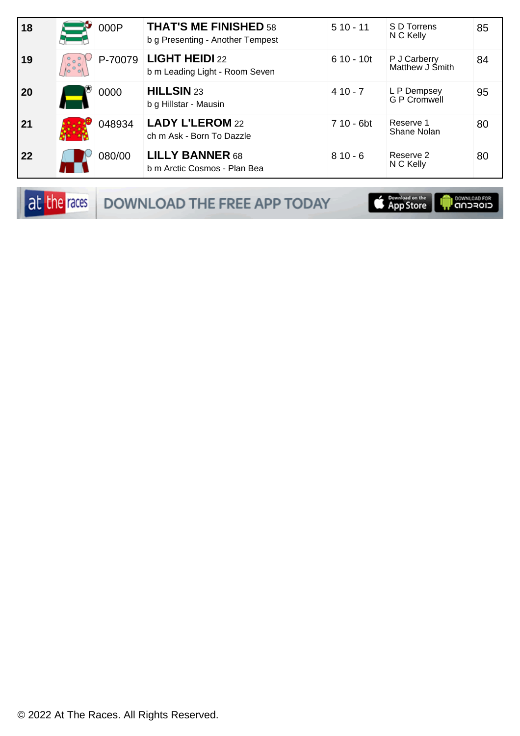| 18 |           | 000P    | <b>THAT'S ME FINISHED 58</b><br>b g Presenting - Another Tempest | $510 - 11$  | S D Torrens<br>N C Kelly        | 85 |
|----|-----------|---------|------------------------------------------------------------------|-------------|---------------------------------|----|
| 19 | ိႏိ<br>Λo | P-70079 | <b>LIGHT HEIDI 22</b><br>b m Leading Light - Room Seven          | $610 - 10t$ | P J Carberry<br>Matthew J Śmith | 84 |
| 20 |           | 0000    | <b>HILLSIN 23</b><br>b g Hillstar - Mausin                       | $410 - 7$   | L P Dempsey<br>G P Cromwell     | 95 |
| 21 |           | 048934  | <b>LADY L'LEROM 22</b><br>ch m Ask - Born To Dazzle              | 7 10 - 6bt  | Reserve 1<br>Shane Nolan        | 80 |
| 22 |           | 080/00  | <b>LILLY BANNER 68</b><br>b m Arctic Cosmos - Plan Bea           | $810 - 6$   | Reserve 2<br>N C Kelly          | 80 |

DOWNLOAD THE FREE APP TODAY

App Store U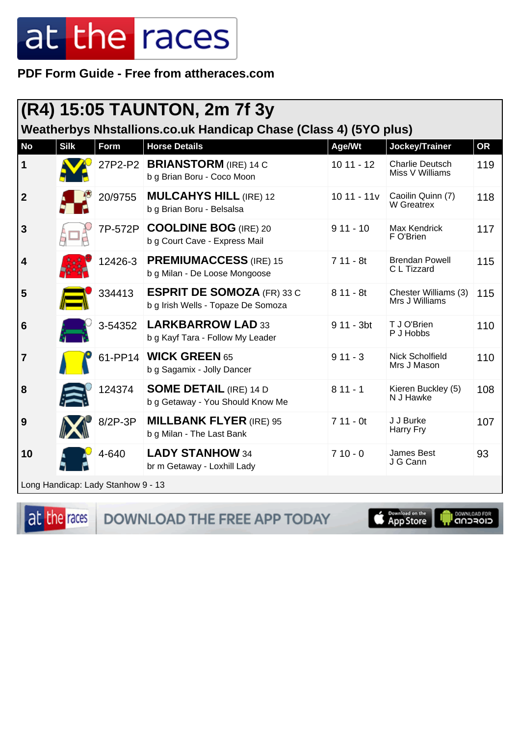PDF Form Guide - Free from attheraces.com

|                  | $(R4)$ 15:05 TAUNTON, 2m 7f 3y                                   |                                    |                                                                         |              |                                           |           |  |  |
|------------------|------------------------------------------------------------------|------------------------------------|-------------------------------------------------------------------------|--------------|-------------------------------------------|-----------|--|--|
|                  | Weatherbys Nhstallions.co.uk Handicap Chase (Class 4) (5YO plus) |                                    |                                                                         |              |                                           |           |  |  |
| <b>No</b>        | <b>Silk</b>                                                      | Form                               | <b>Horse Details</b>                                                    | Age/Wt       | Jockey/Trainer                            | <b>OR</b> |  |  |
| 1                |                                                                  | 27P2-P2                            | <b>BRIANSTORM</b> (IRE) 14 C<br>b g Brian Boru - Coco Moon              | $1011 - 12$  | <b>Charlie Deutsch</b><br>Miss V Williams | 119       |  |  |
| $\boldsymbol{2}$ |                                                                  | 20/9755                            | <b>MULCAHYS HILL (IRE) 12</b><br>b g Brian Boru - Belsalsa              | $1011 - 11v$ | Caoilin Quinn (7)<br><b>W</b> Greatrex    | 118       |  |  |
| 3                |                                                                  | 7P-572P                            | <b>COOLDINE BOG</b> (IRE) 20<br>b g Court Cave - Express Mail           | $911 - 10$   | Max Kendrick<br>F O'Brien                 | 117       |  |  |
| 4                |                                                                  | 12426-3                            | <b>PREMIUMACCESS</b> (IRE) 15<br>b g Milan - De Loose Mongoose          | $711 - 8t$   | <b>Brendan Powell</b><br>C L Tizzard      | 115       |  |  |
| 5                |                                                                  | 334413                             | <b>ESPRIT DE SOMOZA (FR) 33 C</b><br>b g Irish Wells - Topaze De Somoza | $811 - 8t$   | Chester Williams (3)<br>Mrs J Williams    | 115       |  |  |
| 6                |                                                                  | 3-54352                            | <b>LARKBARROW LAD 33</b><br>b g Kayf Tara - Follow My Leader            | $911 - 3bt$  | T J O'Brien<br>P J Hobbs                  | 110       |  |  |
| $\overline{7}$   |                                                                  |                                    | 61-PP14   WICK GREEN 65<br>b g Sagamix - Jolly Dancer                   | $911 - 3$    | <b>Nick Scholfield</b><br>Mrs J Mason     | 110       |  |  |
| 8                |                                                                  | 124374                             | <b>SOME DETAIL (IRE) 14 D</b><br>b g Getaway - You Should Know Me       | $811 - 1$    | Kieren Buckley (5)<br>N J Hawke           | 108       |  |  |
| 9                |                                                                  | 8/2P-3P                            | <b>MILLBANK FLYER (IRE) 95</b><br>b g Milan - The Last Bank             | $711 - 0t$   | J J Burke<br>Harry Fry                    | 107       |  |  |
| 10               |                                                                  | 4-640                              | <b>LADY STANHOW 34</b><br>br m Getaway - Loxhill Lady                   | $710 - 0$    | James Best<br>J G Cann                    | 93        |  |  |
|                  |                                                                  | Long Handicap: Lady Stanhow 9 - 13 |                                                                         |              |                                           |           |  |  |



DOWNLOAD THE FREE APP TODAY

**S** Pownload on the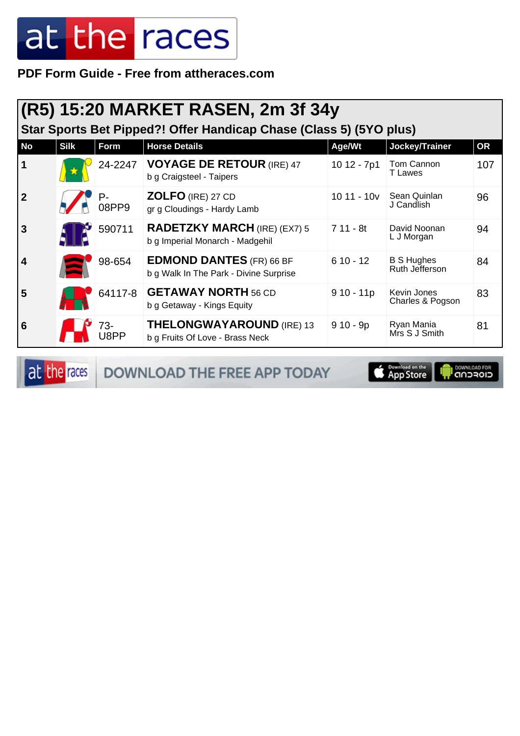**PDF Form Guide - Free from attheraces.com**

|           |             |             | (R5) 15:20 MARKET RASEN, 2m 3f 34y                                        |              |                                     |           |
|-----------|-------------|-------------|---------------------------------------------------------------------------|--------------|-------------------------------------|-----------|
|           |             |             | Star Sports Bet Pipped?! Offer Handicap Chase (Class 5) (5YO plus)        |              |                                     |           |
| <b>No</b> | <b>Silk</b> | Form        | <b>Horse Details</b>                                                      | Age/Wt       | Jockey/Trainer                      | <b>OR</b> |
|           |             | 24-2247     | <b>VOYAGE DE RETOUR (IRE) 47</b><br>b g Craigsteel - Taipers              | 10 12 - 7p1  | Tom Cannon<br><b>T</b> Lawes        | 107       |
| 2         |             | P-<br>08PP9 | <b>ZOLFO (IRE) 27 CD</b><br>gr g Cloudings - Hardy Lamb                   | $1011 - 10v$ | Sean Quinlan<br>J Candlish          | 96        |
| 3         |             | 590711      | <b>RADETZKY MARCH (IRE) (EX7) 5</b><br>b g Imperial Monarch - Madgehil    | $711 - 8t$   | David Noonan<br>L J Morgan          | 94        |
| 4         |             | 98-654      | <b>EDMOND DANTES (FR) 66 BF</b><br>b g Walk In The Park - Divine Surprise | $610 - 12$   | <b>B S Hughes</b><br>Ruth Jefferson | 84        |
| 5         |             | 64117-8     | <b>GETAWAY NORTH 56 CD</b><br>b g Getaway - Kings Equity                  | $910 - 11p$  | Kevin Jones<br>Charles & Pogson     | 83        |
| 6         |             | 73-         | <b>THELONGWAYAROUND (IRE) 13</b><br>b g Fruits Of Love - Brass Neck       | $910 - 9p$   | Ryan Mania<br>Mrs S J Smith         | 81        |

at the races DOWNLOAD THE FREE APP TODAY

App Store **OWNLOAD FOR**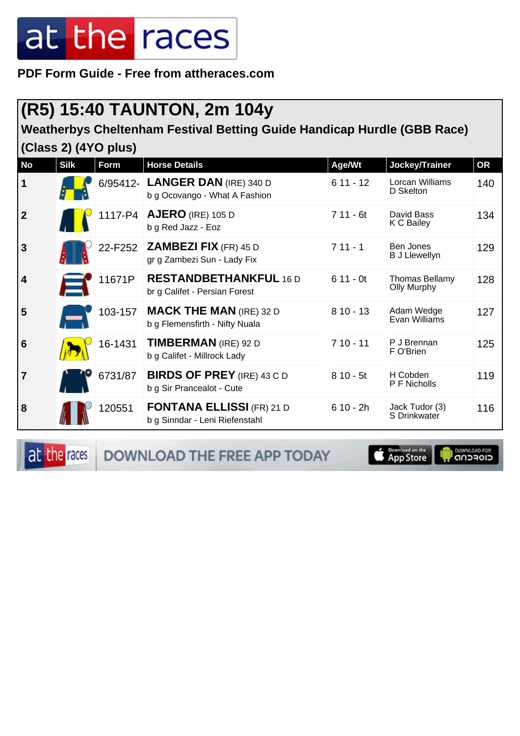**PDF Form Guide - Free from attheraces.com**

### **(R5) 15:40 TAUNTON, 2m 104y**

**Weatherbys Cheltenham Festival Betting Guide Handicap Hurdle (GBB Race)**

**(Class 2) (4YO plus)**

| <b>No</b>               | <b>Silk</b> | Form    | <b>Horse Details</b>                                               | Age/Wt     | Jockey/Trainer                       | OR  |
|-------------------------|-------------|---------|--------------------------------------------------------------------|------------|--------------------------------------|-----|
| $\vert$ 1               |             |         | 6/95412- LANGER DAN (IRE) 340 D<br>b g Ocovango - What A Fashion   | $611 - 12$ | Lorcan Williams<br>D Skelton         | 140 |
| $\overline{2}$          |             |         | 1117-P4   AJERO (IRE) 105 D<br>b g Red Jazz - Eoz                  | $711 - 6t$ | David Bass<br>K C Bailey             | 134 |
| 3                       |             | 22-F252 | <b>ZAMBEZI FIX (FR) 45 D</b><br>gr g Zambezi Sun - Lady Fix        | $711 - 1$  | Ben Jones<br><b>B J Llewellyn</b>    | 129 |
| $\vert$ 4               |             | 11671P  | <b>RESTANDBETHANKFUL 16 D</b><br>br g Califet - Persian Forest     | $611 - 0t$ | <b>Thomas Bellamy</b><br>Olly Murphy | 128 |
| 5                       |             | 103-157 | <b>MACK THE MAN (IRE) 32 D</b><br>b g Flemensfirth - Nifty Nuala   | $810 - 13$ | Adam Wedge<br>Evan Williams          | 127 |
| $\overline{6}$          |             | 16-1431 | <b>TIMBERMAN</b> (IRE) 92 D<br>b g Califet - Millrock Lady         | $710 - 11$ | P J Brennan<br>F O'Brien             | 125 |
| $\overline{\mathbf{7}}$ |             | 6731/87 | <b>BIRDS OF PREY (IRE) 43 C D</b><br>b g Sir Prancealot - Cute     | $810 - 5t$ | H Cobden<br>P F Nicholls             | 119 |
| 8                       |             | 120551  | <b>FONTANA ELLISSI (FR) 21 D</b><br>b g Sinndar - Leni Riefenstahl | $610 - 2h$ | Jack Tudor (3)<br>S Drinkwater       | 116 |

at the races DOWNLOAD THE FREE APP TODAY **S** Download on the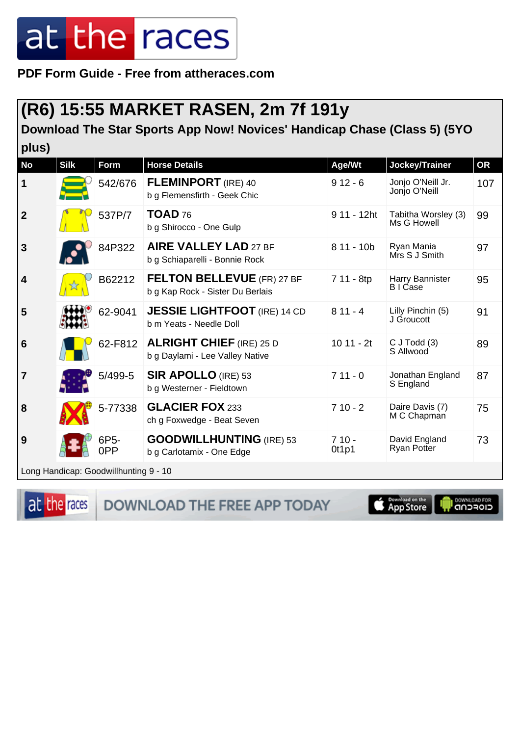**PDF Form Guide - Free from attheraces.com**

#### **(R6) 15:55 MARKET RASEN, 2m 7f 191y**

**Download The Star Sports App Now! Novices' Handicap Chase (Class 5) (5YO**

| plus)                   |             |                                       |                                                                       |                  |                                     |           |
|-------------------------|-------------|---------------------------------------|-----------------------------------------------------------------------|------------------|-------------------------------------|-----------|
| <b>No</b>               | <b>Silk</b> | Form                                  | <b>Horse Details</b>                                                  | Age/Wt           | Jockey/Trainer                      | <b>OR</b> |
| $\mathbf 1$             |             | 542/676                               | <b>FLEMINPORT</b> (IRE) 40<br>b g Flemensfirth - Geek Chic            | $912 - 6$        | Jonjo O'Neill Jr.<br>Jonjo O'Neill  | 107       |
| $\overline{2}$          |             | 537P/7                                | <b>TOAD 76</b><br>b g Shirocco - One Gulp                             | 9 11 - 12ht      | Tabitha Worsley (3)<br>Ms G Howell  | 99        |
| 3                       |             | 84P322                                | <b>AIRE VALLEY LAD 27 BF</b><br>b g Schiaparelli - Bonnie Rock        | $811 - 10b$      | Ryan Mania<br>Mrs S J Smith         | 97        |
| $\overline{\mathbf{4}}$ |             | B62212                                | <b>FELTON BELLEVUE</b> (FR) 27 BF<br>b g Kap Rock - Sister Du Berlais | 7 11 - 8tp       | Harry Bannister<br>B I Case         | 95        |
| 5                       |             | 62-9041                               | <b>JESSIE LIGHTFOOT</b> (IRE) 14 CD<br>b m Yeats - Needle Doll        | $811 - 4$        | Lilly Pinchin (5)<br>J Groucott     | 91        |
| $6\phantom{1}6$         |             | 62-F812                               | <b>ALRIGHT CHIEF (IRE) 25 D</b><br>b g Daylami - Lee Valley Native    | $1011 - 2t$      | $C$ J Todd $(3)$<br>S Allwood       | 89        |
| $\overline{7}$          |             | 5/499-5                               | <b>SIR APOLLO (IRE) 53</b><br>b g Westerner - Fieldtown               | $711 - 0$        | Jonathan England<br>S England       | 87        |
| 8                       |             | 5-77338                               | <b>GLACIER FOX 233</b><br>ch g Foxwedge - Beat Seven                  | $710 - 2$        | Daire Davis (7)<br>M C Chapman      | 75        |
| 9                       |             | 6P5-<br>0PP                           | <b>GOODWILLHUNTING (IRE) 53</b><br>b g Carlotamix - One Edge          | $710 -$<br>Ot1p1 | David England<br><b>Ryan Potter</b> | 73        |
|                         |             | Long Handicap: Goodwillhunting 9 - 10 |                                                                       |                  |                                     |           |
|                         |             |                                       |                                                                       |                  |                                     |           |

at the races

DOWNLOAD THE FREE APP TODAY

**Example of the App Store**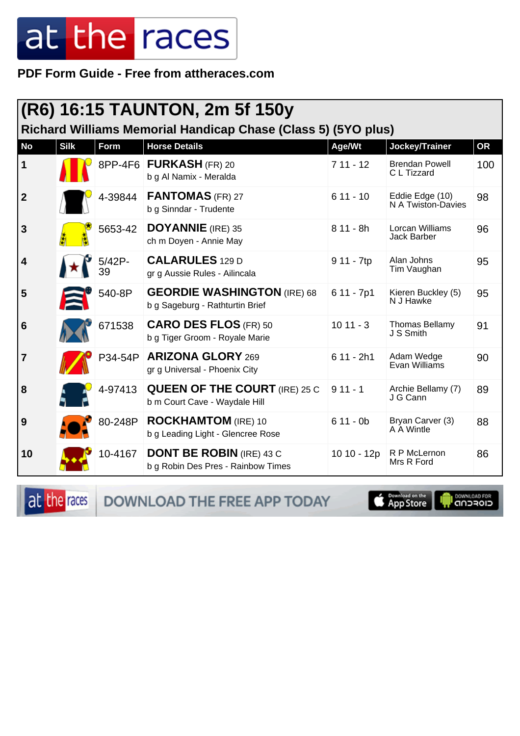PDF Form Guide - Free from attheraces.com

|                         | (R6) 16:15 TAUNTON, 2m 5f 150y |                 |                                                                                       |             |                                       |           |  |
|-------------------------|--------------------------------|-----------------|---------------------------------------------------------------------------------------|-------------|---------------------------------------|-----------|--|
| <b>No</b>               | <b>Silk</b>                    | Form            | Richard Williams Memorial Handicap Chase (Class 5) (5YO plus)<br><b>Horse Details</b> | Age/Wt      | Jockey/Trainer                        | <b>OR</b> |  |
| $\vert$ 1               |                                | 8PP-4F6         | FURKASH (FR) 20<br>b g Al Namix - Meralda                                             | $711 - 12$  | <b>Brendan Powell</b><br>C L Tizzard  | 100       |  |
| $\overline{2}$          |                                | 4-39844         | <b>FANTOMAS</b> (FR) 27<br>b g Sinndar - Trudente                                     | $611 - 10$  | Eddie Edge (10)<br>N A Twiston-Davies | 98        |  |
| $\mathbf{3}$            |                                | 5653-42         | <b>DOYANNIE</b> (IRE) 35<br>ch m Doyen - Annie May                                    | $811 - 8h$  | Lorcan Williams<br>Jack Barber        | 96        |  |
| $\overline{\mathbf{4}}$ |                                | $5/42P -$<br>39 | <b>CALARULES</b> 129 D<br>gr g Aussie Rules - Ailincala                               | 9 11 - 7tp  | Alan Johns<br>Tim Vaughan             | 95        |  |
| 5                       |                                | 540-8P          | <b>GEORDIE WASHINGTON (IRE) 68</b><br>b g Sageburg - Rathturtin Brief                 | $611 - 7p1$ | Kieren Buckley (5)<br>N J Hawke       | 95        |  |
| $6\phantom{1}6$         |                                | 671538          | <b>CARO DES FLOS (FR) 50</b><br>b g Tiger Groom - Royale Marie                        | $1011 - 3$  | <b>Thomas Bellamy</b><br>J S Smith    | 91        |  |
| $\overline{7}$          |                                | P34-54P         | <b>ARIZONA GLORY 269</b><br>gr g Universal - Phoenix City                             | $611 - 2h1$ | Adam Wedge<br>Evan Williams           | 90        |  |
| 8                       |                                | 4-97413         | <b>QUEEN OF THE COURT</b> (IRE) 25 C<br>b m Court Cave - Waydale Hill                 | $911 - 1$   | Archie Bellamy (7)<br>J G Cann        | 89        |  |
| 9                       |                                | 80-248P         | <b>ROCKHAMTOM</b> (IRE) 10<br>b g Leading Light - Glencree Rose                       | $611 - 0b$  | Bryan Carver (3)<br>A A Wintle        | 88        |  |
| 10                      |                                | 10-4167         | <b>DONT BE ROBIN</b> (IRE) 43 C<br>b g Robin Des Pres - Rainbow Times                 | 10 10 - 12p | R P McLernon<br>Mrs R Ford            | 86        |  |

at the races DOWNLOAD THE FREE APP TODAY

App Store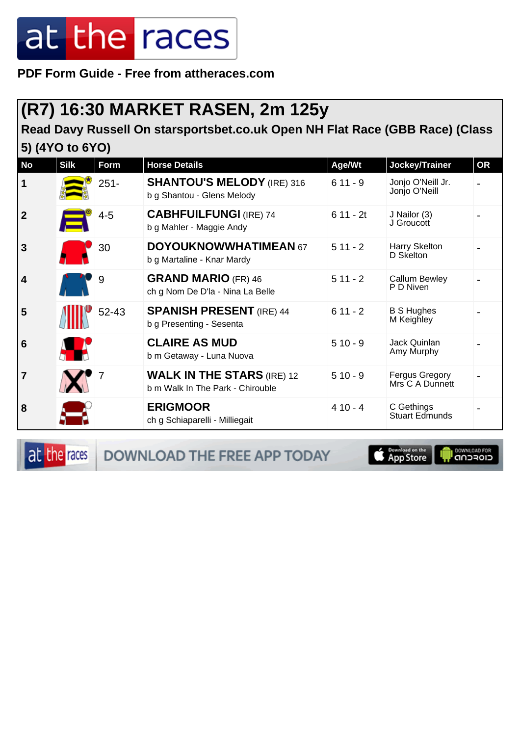**PDF Form Guide - Free from attheraces.com**

#### **(R7) 16:30 MARKET RASEN, 2m 125y**

**Read Davy Russell On starsportsbet.co.uk Open NH Flat Race (GBB Race) (Class 5) (4YO to 6YO)**

| <b>No</b>               | <b>Silk</b> | Form    | <b>Horse Details</b>                                                  | Age/Wt     | Jockey/Trainer                     | <b>OR</b> |
|-------------------------|-------------|---------|-----------------------------------------------------------------------|------------|------------------------------------|-----------|
| $\vert$ 1               |             | $251 -$ | <b>SHANTOU'S MELODY (IRE) 316</b><br>b g Shantou - Glens Melody       | $611 - 9$  | Jonjo O'Neill Jr.<br>Jonjo O'Neill |           |
| $\overline{\mathbf{2}}$ |             | $4 - 5$ | <b>CABHFUILFUNGI (IRE) 74</b><br>b g Mahler - Maggie Andy             | $611 - 2t$ | J Nailor (3)<br>J Groucott         |           |
| 3                       |             | 30      | <b>DOYOUKNOWWHATIMEAN 67</b><br>b g Martaline - Knar Mardy            | $511 - 2$  | Harry Skelton<br>D Skelton         |           |
| $\vert$ 4               |             | 9       | <b>GRAND MARIO (FR) 46</b><br>ch g Nom De D'la - Nina La Belle        | $511 - 2$  | Callum Bewley<br>P D Niven         |           |
| 5                       |             | 52-43   | <b>SPANISH PRESENT (IRE) 44</b><br>b g Presenting - Sesenta           | $611 - 2$  | <b>B S Hughes</b><br>M Keighley    |           |
| 6                       |             |         | <b>CLAIRE AS MUD</b><br>b m Getaway - Luna Nuova                      | $510 - 9$  | Jack Quinlan<br>Amy Murphy         |           |
| 17                      |             |         | <b>WALK IN THE STARS (IRE) 12</b><br>b m Walk In The Park - Chirouble | $510 - 9$  | Fergus Gregory<br>Mrs C A Dunnett  |           |
| 8                       |             |         | <b>ERIGMOOR</b><br>ch g Schiaparelli - Milliegait                     | $410 - 4$  | C Gethings<br>Stuart Edmunds       |           |

at the races

**DOWNLOAD THE FREE APP TODAY** 

**S** Download on the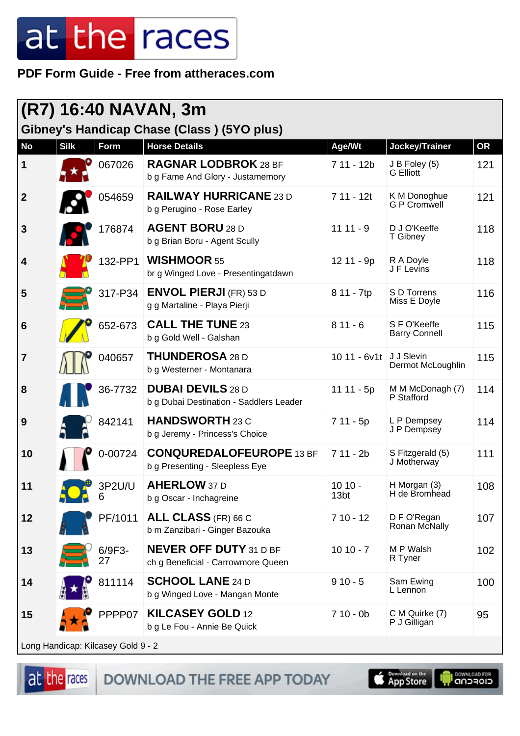#### **PDF Form Guide - Free from attheraces.com**

|                         | (R7) 16:40 NAVAN, 3m               |              |                                                                     |                              |                                      |           |  |  |
|-------------------------|------------------------------------|--------------|---------------------------------------------------------------------|------------------------------|--------------------------------------|-----------|--|--|
|                         |                                    |              | Gibney's Handicap Chase (Class) (5YO plus)                          |                              |                                      |           |  |  |
| <b>No</b>               | <b>Silk</b>                        | Form         | <b>Horse Details</b>                                                | Age/Wt                       | Jockey/Trainer                       | <b>OR</b> |  |  |
| 1                       |                                    | 067026       | <b>RAGNAR LODBROK 28 BF</b><br>b g Fame And Glory - Justamemory     | 7 11 - 12b                   | J B Foley (5)<br>G Elliott           | 121       |  |  |
| $\overline{\mathbf{2}}$ |                                    | 054659       | <b>RAILWAY HURRICANE 23 D</b><br>b g Perugino - Rose Earley         | $711 - 12t$                  | K M Donoghue<br><b>G P Cromwell</b>  | 121       |  |  |
| $\mathbf{3}$            |                                    | 176874       | <b>AGENT BORU 28 D</b><br>b g Brian Boru - Agent Scully             | $1111 - 9$                   | D J O'Keeffe<br>T Gibney             | 118       |  |  |
| $\boldsymbol{4}$        |                                    | 132-PP1      | <b>WISHMOOR 55</b><br>br g Winged Love - Presentingatdawn           | 12 11 - 9p                   | R A Doyle<br>J F Levins              | 118       |  |  |
| 5                       |                                    | 317-P34      | <b>ENVOL PIERJI (FR) 53 D</b><br>g g Martaline - Playa Pierji       | 8 11 - 7tp                   | S D Torrens<br>Miss E Doyle          | 116       |  |  |
| $6\phantom{1}6$         |                                    | 652-673      | <b>CALL THE TUNE 23</b><br>b g Gold Well - Galshan                  | $811 - 6$                    | S F O'Keeffe<br><b>Barry Connell</b> | 115       |  |  |
| $\overline{7}$          |                                    | 040657       | <b>THUNDEROSA 28 D</b><br>b g Westerner - Montanara                 | 10 11 - 6v1t                 | J J Slevin<br>Dermot McLoughlin      | 115       |  |  |
| 8                       |                                    | 36-7732      | <b>DUBAI DEVILS 28 D</b><br>b g Dubai Destination - Saddlers Leader | 11 11 - 5p                   | M M McDonagh (7)<br>P Stafford       | 114       |  |  |
| 9                       |                                    | 842141       | <b>HANDSWORTH 23 C</b><br>b g Jeremy - Princess's Choice            | $711 - 5p$                   | L P Dempsey<br>J P Dempsey           | 114       |  |  |
| 10                      |                                    | 0-00724      | <b>CONQUREDALOFEUROPE 13 BF</b><br>b g Presenting - Sleepless Eye   | $711 - 2b$                   | S Fitzgerald (5)<br>J Motherway      | 111       |  |  |
| 11                      |                                    | 3P2U/U<br>6  | <b>AHERLOW 37 D</b><br>b g Oscar - Inchagreine                      | $1010 -$<br>13 <sub>bt</sub> | H Morgan (3)<br>H de Bromhead        | 108       |  |  |
| 12                      |                                    | PF/1011      | <b>ALL CLASS</b> (FR) 66 C<br>b m Zanzibari - Ginger Bazouka        | $710 - 12$                   | D F O'Regan<br>Ronan McNally         | 107       |  |  |
| 13                      |                                    | 6/9F3-<br>27 | <b>NEVER OFF DUTY 31 D BF</b><br>ch g Beneficial - Carrowmore Queen | $1010 - 7$                   | M P Walsh<br>R Tyner                 | 102       |  |  |
| 14                      |                                    | 811114       | <b>SCHOOL LANE 24 D</b><br>b g Winged Love - Mangan Monte           | $910 - 5$                    | Sam Ewing<br>L Lennon                | 100       |  |  |
| 15                      |                                    | PPPP07       | <b>KILCASEY GOLD 12</b><br>b g Le Fou - Annie Be Quick              | $710 - 0b$                   | C M Quirke (7)<br>P J Gilligan       | 95        |  |  |
|                         | Long Handison: Kilogeou Cold 0 - 2 |              |                                                                     |                              |                                      |           |  |  |

<sub>-</sub>ong Handicap: Kilcasey Gold 9

at the races

DOWNLOAD THE FREE APP TODAY

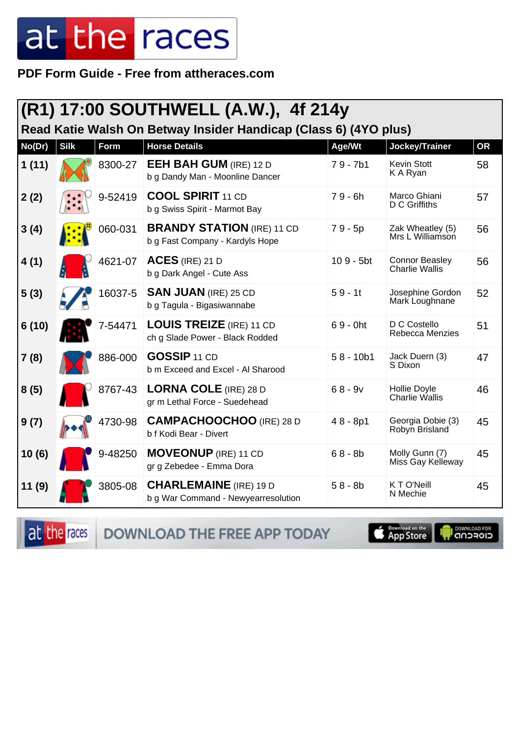#### PDF Form Guide - Free from attheraces.com

| (R1) 17:00 SOUTHWELL (A.W.), 4f 214y |             |         |                                                                      |             |                                                |           |  |
|--------------------------------------|-------------|---------|----------------------------------------------------------------------|-------------|------------------------------------------------|-----------|--|
|                                      |             |         | Read Katie Walsh On Betway Insider Handicap (Class 6) (4YO plus)     |             |                                                |           |  |
| No(Dr)                               | <b>Silk</b> | Form    | <b>Horse Details</b>                                                 | Age/Wt      | Jockey/Trainer                                 | <b>OR</b> |  |
| 1(11)                                |             | 8300-27 | <b>EEH BAH GUM (IRE) 12 D</b><br>b g Dandy Man - Moonline Dancer     | $79 - 7b1$  | Kevin Stott<br>K A Ryan                        | 58        |  |
| 2(2)                                 |             | 9-52419 | <b>COOL SPIRIT 11 CD</b><br>b g Swiss Spirit - Marmot Bay            | $79 - 6h$   | Marco Ghiani<br>D C Griffiths                  | 57        |  |
| 3(4)                                 |             | 060-031 | <b>BRANDY STATION</b> (IRE) 11 CD<br>b g Fast Company - Kardyls Hope | 79 - 5p     | Zak Wheatley (5)<br>Mrs L Williamson           | 56        |  |
| 4(1)                                 |             | 4621-07 | $ACES$ (IRE) 21 D<br>b g Dark Angel - Cute Ass                       | $109 - 5bt$ | <b>Connor Beasley</b><br><b>Charlie Wallis</b> | 56        |  |
| 5(3)                                 |             | 16037-5 | <b>SAN JUAN (IRE) 25 CD</b><br>b g Tagula - Bigasiwannabe            | $59 - 1t$   | Josephine Gordon<br>Mark Loughnane             | 52        |  |
| 6(10)                                |             | 7-54471 | <b>LOUIS TREIZE (IRE) 11 CD</b><br>ch g Slade Power - Black Rodded   | $69 - 0$ ht | D C Costello<br>Rebecca Menzies                | 51        |  |
| 7(8)                                 |             | 886-000 | <b>GOSSIP 11 CD</b><br>b m Exceed and Excel - Al Sharood             | $58 - 10b1$ | Jack Duern (3)<br>S Dixon                      | 47        |  |
| 8(5)                                 |             | 8767-43 | <b>LORNA COLE (IRE) 28 D</b><br>gr m Lethal Force - Suedehead        | $68 - 9v$   | Hollie Doyle<br><b>Charlie Wallis</b>          | 46        |  |
| 9(7)                                 |             | 4730-98 | <b>CAMPACHOOCHOO (IRE) 28 D</b><br>b f Kodi Bear - Divert            | $48 - 8p1$  | Georgia Dobie (3)<br>Robyn Brisland            | 45        |  |
| 10(6)                                |             | 9-48250 | <b>MOVEONUP</b> (IRE) 11 CD<br>gr g Zebedee - Emma Dora              | $68 - 8b$   | Molly Gunn (7)<br>Miss Gay Kelleway            | 45        |  |
| 11(9)                                |             | 3805-08 | <b>CHARLEMAINE</b> (IRE) 19 D<br>b g War Command - Newyearresolution | $58 - 8b$   | <b>KTO'Neill</b><br>N Mechie                   | 45        |  |

at the races

DOWNLOAD THE FREE APP TODAY

**S** Download on the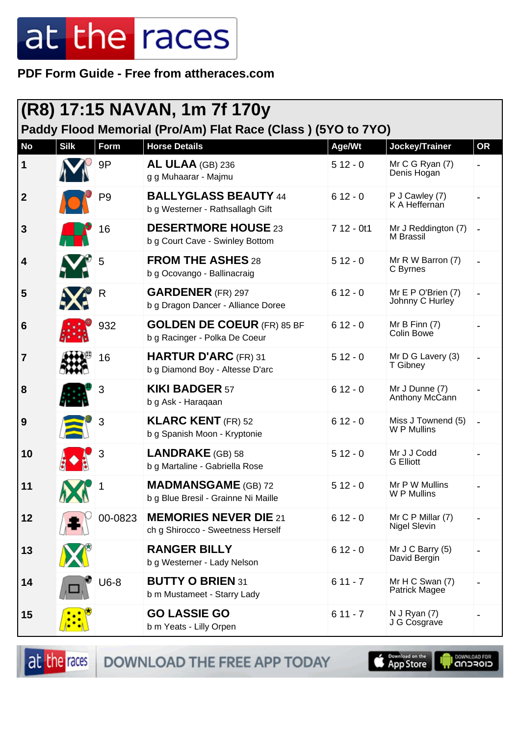**PDF Form Guide - Free from attheraces.com**

| (R8) 17:15 NAVAN, 1m 7f 170y<br>Paddy Flood Memorial (Pro/Am) Flat Race (Class) (5YO to 7YO) |             |                |                                                                    |             |                                       |           |  |
|----------------------------------------------------------------------------------------------|-------------|----------------|--------------------------------------------------------------------|-------------|---------------------------------------|-----------|--|
| <b>No</b>                                                                                    | <b>Silk</b> | Form           | <b>Horse Details</b>                                               | Age/Wt      | Jockey/Trainer                        | <b>OR</b> |  |
| 1                                                                                            |             | 9P             | AL ULAA (GB) 236<br>g g Muhaarar - Majmu                           | $512 - 0$   | Mr C G Ryan (7)<br>Denis Hogan        |           |  |
| $\mathbf{2}$                                                                                 |             | P <sub>9</sub> | <b>BALLYGLASS BEAUTY 44</b><br>b g Westerner - Rathsallagh Gift    | $612 - 0$   | P J Cawley (7)<br>K A Heffernan       |           |  |
| 3                                                                                            |             | 16             | <b>DESERTMORE HOUSE 23</b><br>b g Court Cave - Swinley Bottom      | $712 - 0t1$ | Mr J Reddington (7)<br>M Brassil      |           |  |
| 4                                                                                            |             | 5              | <b>FROM THE ASHES 28</b><br>b g Ocovango - Ballinacraig            | $512 - 0$   | Mr R W Barron (7)<br>C Byrnes         |           |  |
| 5                                                                                            |             | R              | <b>GARDENER</b> (FR) 297<br>b g Dragon Dancer - Alliance Doree     | $612 - 0$   | Mr E P O'Brien (7)<br>Johnny C Hurley |           |  |
| 6                                                                                            |             | 932            | <b>GOLDEN DE COEUR (FR) 85 BF</b><br>b g Racinger - Polka De Coeur | $612 - 0$   | Mr B Finn $(7)$<br>Colin Bowe         |           |  |
| 7                                                                                            |             | 16             | <b>HARTUR D'ARC (FR) 31</b><br>b g Diamond Boy - Altesse D'arc     | $512 - 0$   | Mr D G Lavery (3)<br>T Gibney         |           |  |
| 8                                                                                            |             | 3              | <b>KIKI BADGER 57</b><br>b g Ask - Haraqaan                        | $612 - 0$   | Mr J Dunne (7)<br>Anthony McCann      |           |  |
| 9                                                                                            |             | 3              | <b>KLARC KENT</b> (FR) 52<br>b g Spanish Moon - Kryptonie          | $612 - 0$   | Miss J Townend (5)<br>W P Mullins     |           |  |
| 10                                                                                           |             | 3              | <b>LANDRAKE</b> (GB) 58<br>b g Martaline - Gabriella Rose          | $512 - 0$   | Mr J J Codd<br><b>G</b> Elliott       |           |  |
| 11                                                                                           |             |                | <b>MADMANSGAME</b> (GB) 72<br>b g Blue Bresil - Grainne Ni Maille  | $512 - 0$   | Mr P W Mullins<br>W P Mullins         |           |  |
| 12                                                                                           |             | 00-0823        | <b>MEMORIES NEVER DIE 21</b><br>ch g Shirocco - Sweetness Herself  | $612 - 0$   | Mr C P Millar (7)<br>Nigel Slevin     |           |  |
| 13                                                                                           |             |                | <b>RANGER BILLY</b><br>b g Westerner - Lady Nelson                 | $612 - 0$   | Mr J C Barry (5)<br>David Bergin      |           |  |
| 14                                                                                           |             | U6-8           | <b>BUTTY O BRIEN 31</b><br>b m Mustameet - Starry Lady             | $611 - 7$   | Mr H C Swan (7)<br>Patrick Magee      |           |  |
| 15                                                                                           |             |                | <b>GO LASSIE GO</b><br>b m Yeats - Lilly Orpen                     | $611 - 7$   | N J Ryan (7)<br>J G Cosgrave          |           |  |

DOWNLOAD THE FREE APP TODAY at the races

**I** DOWNLOAD FOR **Example of the App Store**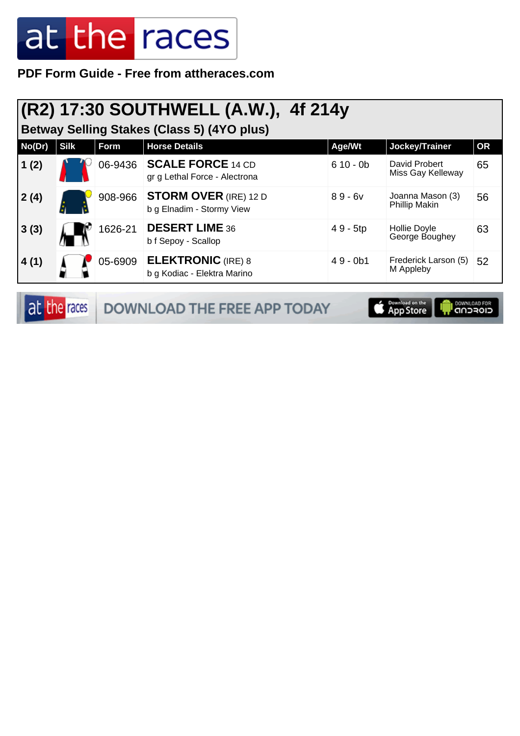**PDF Form Guide - Free from attheraces.com**

### **(R2) 17:30 SOUTHWELL (A.W.), 4f 214y**

**Betway Selling Stakes (Class 5) (4YO plus)**

| No(Dr) | <b>Silk</b> | Form    | <b>Horse Details</b>                                      | Age/Wt     | Jockey/Trainer                     | <b>OR</b> |
|--------|-------------|---------|-----------------------------------------------------------|------------|------------------------------------|-----------|
| 1(2)   |             | 06-9436 | <b>SCALE FORCE 14 CD</b><br>gr g Lethal Force - Alectrona | $610 - 0b$ | David Probert<br>Miss Gay Kelleway | 65        |
| 2(4)   |             | 908-966 | <b>STORM OVER (IRE) 12 D</b><br>b g Elnadim - Stormy View | $89 - 6v$  | Joanna Mason (3)<br>Phillip Makin  | 56        |
| 3(3)   |             | 1626-21 | <b>DESERT LIME 36</b><br>b f Sepoy - Scallop              | 49 - 5tp   | Hollie Doyle<br>George Boughey     | 63        |
| 4(1)   |             | 05-6909 | <b>ELEKTRONIC</b> (IRE) 8<br>b g Kodiac - Elektra Marino  | $49 - 0b1$ | Frederick Larson (5)<br>M Appleby  | 52        |

|  | <b>at the races</b> DOWNLOAD THE FREE APP TODAY | <b>Examples on the Europe State of App Store Inc.</b> |  |
|--|-------------------------------------------------|-------------------------------------------------------|--|
|--|-------------------------------------------------|-------------------------------------------------------|--|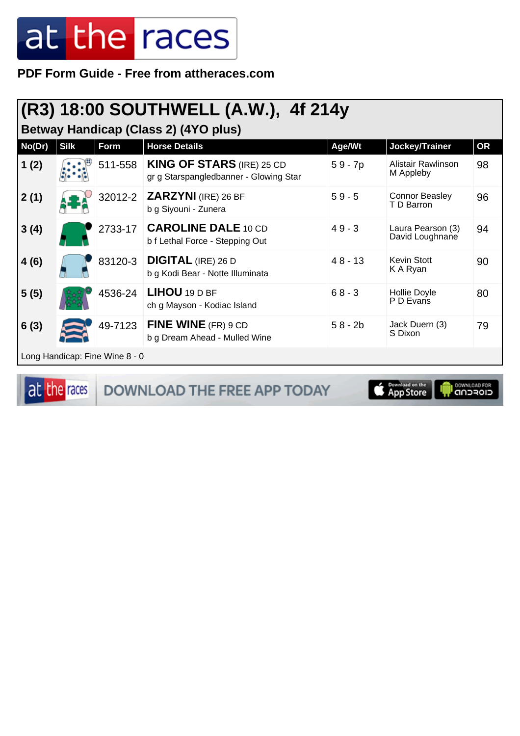**PDF Form Guide - Free from attheraces.com**

### **(R3) 18:00 SOUTHWELL (A.W.), 4f 214y**

**Betway Handicap (Class 2) (4YO plus)**

| No(Dr) | <b>Silk</b> | Form                           | <b>Horse Details</b>                                                       | Age/Wt    | Jockey/Trainer                       | <b>OR</b> |
|--------|-------------|--------------------------------|----------------------------------------------------------------------------|-----------|--------------------------------------|-----------|
| 1(2)   |             | 511-558                        | <b>KING OF STARS (IRE) 25 CD</b><br>gr g Starspangledbanner - Glowing Star | $59 - 7p$ | Alistair Rawlinson<br>M Appleby      | 98        |
| 2(1)   |             | 32012-2                        | <b>ZARZYNI</b> (IRE) 26 BF<br>b g Siyouni - Zunera                         | $59 - 5$  | <b>Connor Beasley</b><br>T D Barron  | 96        |
| 3(4)   |             | 2733-17                        | <b>CAROLINE DALE 10 CD</b><br>b f Lethal Force - Stepping Out              | $49 - 3$  | Laura Pearson (3)<br>David Loughnane | 94        |
| 4(6)   |             | 83120-3                        | <b>DIGITAL</b> (IRE) 26 D<br>b g Kodi Bear - Notte Illuminata              | $48 - 13$ | <b>Kevin Stott</b><br>K A Ryan       | 90        |
| 5(5)   |             | 4536-24                        | LIHOU 19 D BF<br>ch g Mayson - Kodiac Island                               | $68 - 3$  | Hollie Doyle<br>P D Evans            | 80        |
| 6(3)   |             | 49-7123                        | FINE WINE (FR) 9 CD<br>b g Dream Ahead - Mulled Wine                       | $58 - 2b$ | Jack Duern (3)<br>S Dixon            | 79        |
|        |             | Long Handicap: Fine Wine 8 - 0 |                                                                            |           |                                      |           |

at the races DOWNLOAD THE FREE APP TODAY App Store **DOWNLOAD FOR**